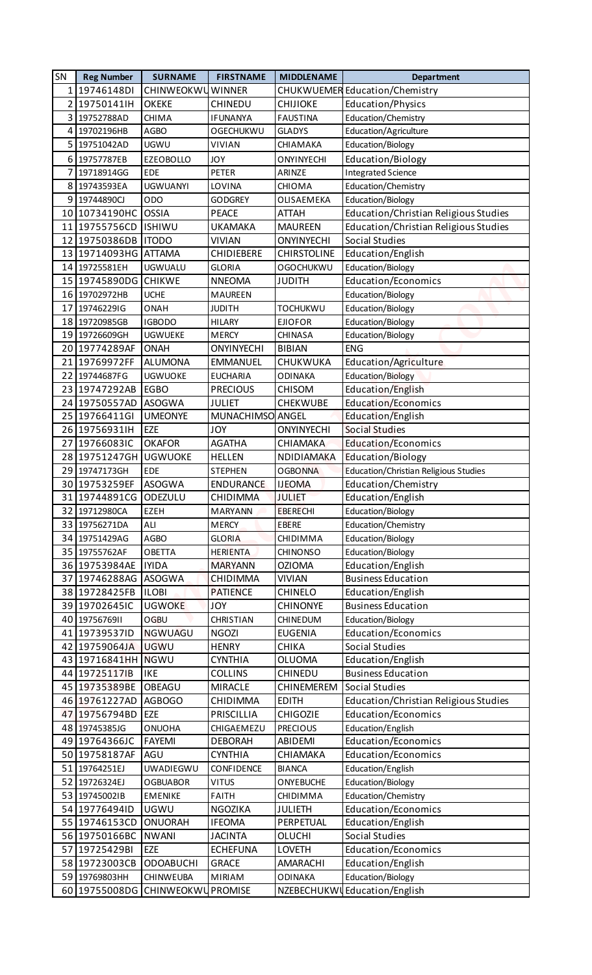| 1 19746148DI<br>CHINWEOKWU<br><b>CHUKWUEMER Education/Chemistry</b><br><b>WINNER</b><br>2 19750141IH<br><b>OKEKE</b><br><b>CHIJIOKE</b><br>Education/Physics<br><b>CHINEDU</b> |  |
|--------------------------------------------------------------------------------------------------------------------------------------------------------------------------------|--|
|                                                                                                                                                                                |  |
|                                                                                                                                                                                |  |
| Education/Chemistry<br>3 19752788AD<br><b>CHIMA</b><br><b>IFUNANYA</b><br><b>FAUSTINA</b>                                                                                      |  |
| 4 19702196HB<br><b>AGBO</b><br><b>OGECHUKWU</b><br><b>GLADYS</b><br>Education/Agriculture                                                                                      |  |
| 5 19751042AD<br><b>UGWU</b><br><b>VIVIAN</b><br>Education/Biology<br>CHIAMAKA                                                                                                  |  |
| Education/Biology<br>19757787EB<br>6<br><b>EZEOBOLLO</b><br><b>JOY</b><br>ONYINYECHI                                                                                           |  |
| 7<br><b>PETER</b><br><b>Integrated Science</b><br>19718914GG<br><b>EDE</b><br>ARINZE                                                                                           |  |
| <b>UGWUANYI</b><br>Education/Chemistry<br>8 19743593EA<br>LOVINA<br>CHIOMA                                                                                                     |  |
| 9 19744890CJ<br>ODO<br>Education/Biology<br><b>GODGREY</b><br>OLISAEMEKA                                                                                                       |  |
| 10 10734190HC<br><b>OSSIA</b><br><b>PEACE</b><br>Education/Christian Religious Studies<br><b>ATTAH</b>                                                                         |  |
| <b>ISHIWU</b><br>11 19755756CD<br><b>UKAMAKA</b><br><b>MAUREEN</b><br>Education/Christian Religious Studies                                                                    |  |
| 12 19750386DB<br>Social Studies<br><b>ITODO</b><br><b>VIVIAN</b><br><b>ONYINYECHI</b>                                                                                          |  |
| 13 19714093HG ATTAMA<br><b>CHIRSTOLINE</b><br>Education/English<br><b>CHIDIEBERE</b>                                                                                           |  |
| 14 19725581EH<br><b>UGWUALU</b><br><b>OGOCHUKWU</b><br>Education/Biology<br><b>GLORIA</b>                                                                                      |  |
| 15 19745890DG<br>Education/Economics<br><b>CHIKWE</b><br><b>NNEOMA</b><br><b>JUDITH</b>                                                                                        |  |
| 16 19702972HB<br><b>UCHE</b><br>Education/Biology<br><b>MAUREEN</b>                                                                                                            |  |
| 17 19746229IG<br><b>TOCHUKWU</b><br>Education/Biology<br>ONAH<br><b>JUDITH</b>                                                                                                 |  |
| 18 19720985GB<br><b>IGBODO</b><br><b>HILARY</b><br>Education/Biology<br><b>EJIOFOR</b>                                                                                         |  |
| Education/Biology<br>19 19726609GH<br><b>UGWUEKE</b><br><b>MERCY</b><br><b>CHINASA</b>                                                                                         |  |
| <b>ENG</b><br>20 19774289AF<br><b>ONAH</b><br><b>BIBIAN</b><br><b>ONYINYECHI</b>                                                                                               |  |
| Education/Agriculture<br>21 19769972FF<br><b>ALUMONA</b><br><b>EMMANUEL</b><br>CHUKWUKA                                                                                        |  |
| 22 19744687FG<br>Education/Biology<br><b>UGWUOKE</b><br><b>EUCHARIA</b><br><b>ODINAKA</b>                                                                                      |  |
| 23 19747292AB<br><b>EGBO</b><br>Education/English<br><b>PRECIOUS</b><br><b>CHISOM</b>                                                                                          |  |
| Education/Economics<br>24 19750557AD<br><b>ASOGWA</b><br>CHEKWUBE<br><b>JULIET</b>                                                                                             |  |
| 25 19766411GI<br><b>UMEONYE</b><br>MUNACHIMSO ANGEL<br>Education/English<br><b>EZE</b>                                                                                         |  |
| 26 19756931H<br><b>JOY</b><br><b>Social Studies</b><br><b>ONYINYECHI</b><br><b>OKAFOR</b><br><b>AGATHA</b><br>Education/Economics                                              |  |
| 27 19766083IC<br><b>CHIAMAKA</b><br>28 19751247GH<br><b>UGWUOKE</b><br><b>Education/Biology</b><br><b>HELLEN</b><br>NDIDIAMAKA                                                 |  |
| 29 19747173GH<br><b>EDE</b><br>Education/Christian Religious Studies<br><b>STEPHEN</b><br><b>OGBONNA</b>                                                                       |  |
| 30 19753259EF<br><b>ASOGWA</b><br>Education/Chemistry<br><b>ENDURANCE</b><br><b>IJEOMA</b>                                                                                     |  |
| 31 19744891CG ODEZULU<br>Education/English<br><b>JULIET</b><br>CHIDIMMA                                                                                                        |  |
| 32 19712980CA<br>EZEH<br><b>MARYANN</b><br><b>EBERECHI</b><br>Education/Biology                                                                                                |  |
| 33 19756271DA<br>Education/Chemistry<br>ALI<br><b>MERCY</b><br><b>EBERE</b>                                                                                                    |  |
| 34 19751429AG<br>AGBO<br><b>GLORIA</b><br><b>CHIDIMMA</b><br>Education/Biology                                                                                                 |  |
| 35 19755762AF<br><b>OBETTA</b><br><b>HERIENTA</b><br><b>CHINONSO</b><br>Education/Biology                                                                                      |  |
| 36 19753984AE<br><b>IYIDA</b><br><b>OZIOMA</b><br>Education/English<br><b>MARYANN</b>                                                                                          |  |
| 37 19746288AG<br><b>ASOGWA</b><br><b>Business Education</b><br><b>CHIDIMMA</b><br><b>VIVIAN</b>                                                                                |  |
| 38 19728425FB<br><b>ILOBI</b><br>Education/English<br><b>PATIENCE</b><br><b>CHINELO</b>                                                                                        |  |
| <b>Business Education</b><br>39 19702645IC<br><b>UGWOKE</b><br><b>JOY</b><br><b>CHINONYE</b>                                                                                   |  |
| 40 1975676911<br><b>OGBU</b><br><b>CHRISTIAN</b><br>Education/Biology<br>CHINEDUM                                                                                              |  |
| 41 19739537ID<br><b>NGWUAGU</b><br>Education/Economics<br><b>NGOZI</b><br><b>EUGENIA</b>                                                                                       |  |
| 42 19759064JA<br><b>UGWU</b><br>Social Studies<br><b>HENRY</b><br><b>CHIKA</b>                                                                                                 |  |
| 43 19716841HH NGWU<br><b>CYNTHIA</b><br>Education/English<br><b>OLUOMA</b>                                                                                                     |  |
| 44 197251171B<br><b>IKE</b><br><b>Business Education</b><br><b>COLLINS</b><br><b>CHINEDU</b>                                                                                   |  |
| OBEAGU<br>45 19735389BE<br><b>MIRACLE</b><br>CHINEMEREM<br>Social Studies                                                                                                      |  |
| Education/Christian Religious Studies<br>46 19761227AD<br><b>AGBOGO</b><br>CHIDIMMA<br><b>EDITH</b>                                                                            |  |
| 47 19756794BD<br><b>EZE</b><br><b>Education/Economics</b><br>PRISCILLIA<br><b>CHIGOZIE</b>                                                                                     |  |
| 48 19745385JG<br>Education/English<br><b>ONUOHA</b><br>CHIGAEMEZU<br><b>PRECIOUS</b>                                                                                           |  |
| Education/Economics<br>49 19764366JC<br><b>FAYEMI</b><br><b>DEBORAH</b><br>ABIDEMI                                                                                             |  |
| 50 19758187AF<br>AGU<br><b>CYNTHIA</b><br>Education/Economics<br>CHIAMAKA                                                                                                      |  |
| 51 19764251EJ<br>UWADIEGWU<br>Education/English<br><b>CONFIDENCE</b><br><b>BIANCA</b>                                                                                          |  |
| 52 19726324EJ<br><b>VITUS</b><br><b>ONYEBUCHE</b><br>Education/Biology<br><b>OGBUABOR</b>                                                                                      |  |
| 53 197450021B<br>Education/Chemistry<br><b>EMENIKE</b><br><b>FAITH</b><br>CHIDIMMA                                                                                             |  |
| Education/Economics<br>54 19776494ID<br><b>UGWU</b><br>NGOZIKA<br><b>JULIETH</b>                                                                                               |  |
| 55 19746153CD<br><b>ONUORAH</b><br><b>IFEOMA</b><br>Education/English<br>PERPETUAL                                                                                             |  |
| 56 19750166BC<br><b>NWANI</b><br>Social Studies<br><b>JACINTA</b><br><b>OLUCHI</b>                                                                                             |  |
| 57 19725429BI<br>Education/Economics<br>EZE<br><b>ECHEFUNA</b><br><b>LOVETH</b>                                                                                                |  |
| 58 19723003CB<br><b>ODOABUCHI</b><br><b>GRACE</b><br>AMARACHI<br>Education/English                                                                                             |  |
| 59 19769803HH<br>Education/Biology<br>CHINWEUBA<br><b>MIRIAM</b><br><b>ODINAKA</b>                                                                                             |  |
| NZEBECHUKWU Education/English<br>60 19755008DG CHINWEOKWU PROMISE                                                                                                              |  |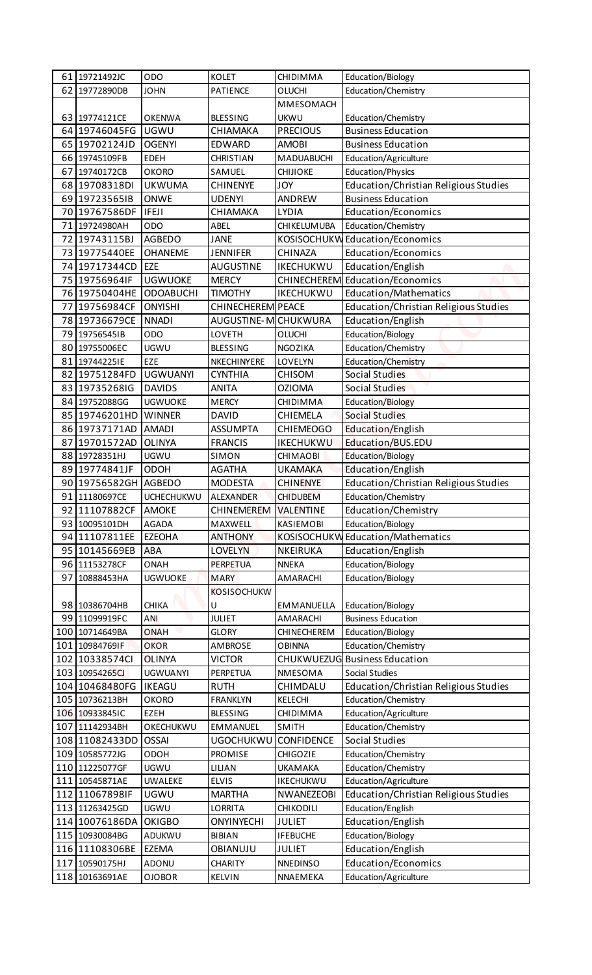| 61 19721492JC  | ODO               | <b>KOLET</b>             | CHIDIMMA           | Education/Biology                     |
|----------------|-------------------|--------------------------|--------------------|---------------------------------------|
| 62 19772890DB  | <b>JOHN</b>       | PATIENCE                 | <b>OLUCHI</b>      | Education/Chemistry                   |
|                |                   |                          | MMESOMACH          |                                       |
| 63 19774121CE  | <b>OKENWA</b>     | <b>BLESSING</b>          | <b>UKWU</b>        | Education/Chemistry                   |
| 64 19746045FG  | <b>UGWU</b>       | CHIAMAKA                 | <b>PRECIOUS</b>    | <b>Business Education</b>             |
| 65 19702124JD  | <b>OGENYI</b>     | <b>EDWARD</b>            | <b>AMOBI</b>       | <b>Business Education</b>             |
| 66 19745109FB  | EDEH              | <b>CHRISTIAN</b>         | <b>MADUABUCHI</b>  | Education/Agriculture                 |
| 67 19740172CB  | <b>OKORO</b>      | SAMUEL                   | <b>CHIJIOKE</b>    | Education/Physics                     |
| 68 19708318DI  | <b>UKWUMA</b>     | <b>CHINENYE</b>          | <b>JOY</b>         | Education/Christian Religious Studies |
| 69 197235651B  | <b>ONWE</b>       | <b>UDENYI</b>            | <b>ANDREW</b>      | <b>Business Education</b>             |
| 70 19767586DF  | IFEJI             | CHIAMAKA                 | <b>LYDIA</b>       | Education/Economics                   |
| 71 19724980AH  | <b>ODO</b>        | ABEL                     | <b>CHIKELUMUBA</b> | Education/Chemistry                   |
| 72 19743115BJ  | <b>AGBEDO</b>     | <b>JANE</b>              |                    | KOSISOCHUKW Education/Economics       |
| 73 19775440EE  | <b>OHANEME</b>    | <b>JENNIFER</b>          | CHINAZA            | Education/Economics                   |
| 74 19717344CD  | <b>EZE</b>        | <b>AUGUSTINE</b>         | <b>IKECHUKWU</b>   | Education/English                     |
| 75 19756964IF  | <b>UGWUOKE</b>    | <b>MERCY</b>             |                    | CHINECHEREM Education/Economics       |
| 76 19750404HE  | ODOABUCHI         | <b>TIMOTHY</b>           | <b>IKECHUKWU</b>   | Education/Mathematics                 |
| 77 19756984CF  | <b>ONYISHI</b>    | <b>CHINECHEREM PEACE</b> |                    | Education/Christian Religious Studies |
| 78 19736679CE  | <b>NNADI</b>      | AUGUSTINE-M CHUKWURA     |                    | Education/English                     |
| 79 19756545IB  | ODO               | LOVETH                   | OLUCHI             | Education/Biology                     |
| 80 19755006EC  | <b>UGWU</b>       | <b>BLESSING</b>          | NGOZIKA            | Education/Chemistry                   |
| 81 19744225IE  | EZE               | NKECHINYERE              | LOVELYN            | Education/Chemistry                   |
| 82 19751284FD  | <b>UGWUANYI</b>   | <b>CYNTHIA</b>           | <b>CHISOM</b>      | Social Studies                        |
| 83 19735268IG  | <b>DAVIDS</b>     | <b>ANITA</b>             | <b>OZIOMA</b>      | Social Studies                        |
| 84 19752088GG  | <b>UGWUOKE</b>    | <b>MERCY</b>             | CHIDIMMA           | <b>Education/Biology</b>              |
| 85 19746201HD  | <b>WINNER</b>     | <b>DAVID</b>             | <b>CHIEMELA</b>    | <b>Social Studies</b>                 |
| 86 19737171AD  | <b>AMADI</b>      | <b>ASSUMPTA</b>          | <b>CHIEMEOGO</b>   | Education/English                     |
| 87 19701572AD  | <b>OLINYA</b>     | <b>FRANCIS</b>           | <b>IKECHUKWU</b>   | Education/BUS.EDU                     |
|                |                   |                          |                    |                                       |
| 88 19728351HJ  | UGWU              | SIMON                    | <b>CHIMAOBI</b>    | Education/Biology                     |
| 89 19774841JF  | <b>ODOH</b>       | <b>AGATHA</b>            | <b>UKAMAKA</b>     | Education/English                     |
| 90 19756582GH  | <b>AGBEDO</b>     | <b>MODESTA</b>           | <b>CHINENYE</b>    | Education/Christian Religious Studies |
| 91 11180697CE  | <b>UCHECHUKWU</b> | ALEXANDER                | <b>CHIDUBEM</b>    | Education/Chemistry                   |
| 92 11107882CF  | <b>AMOKE</b>      | CHINEMEREM VALENTINE     |                    | Education/Chemistry                   |
| 93 10095101DH  | AGADA             | MAXWELL                  | <b>KASIEMOBI</b>   | Education/Biology                     |
| 94 11107811EE  | <b>EZEOHA</b>     | <b>ANTHONY</b>           |                    | KOSISOCHUKW Education/Mathematics     |
| 95 10145669EB  | <b>ABA</b>        | <b>LOVELYN</b>           | NKEIRUKA           | Education/English                     |
| 96 11153278CF  | ONAH              | <b>PERPETUA</b>          | <b>NNEKA</b>       | Education/Biology                     |
| 97 10888453HA  | <b>UGWUOKE</b>    | <b>MARY</b>              | AMARACHI           | Education/Biology                     |
|                |                   | <b>KOSISOCHUKW</b>       |                    |                                       |
| 98 10386704HB  | <b>CHIKA</b>      | U                        | EMMANUELLA         | Education/Biology                     |
| 99 11099919FC  | ANI               | <b>JULIET</b>            | AMARACHI           | <b>Business Education</b>             |
| 100 10714649BA | <b>ONAH</b>       | <b>GLORY</b>             | CHINECHEREM        | Education/Biology                     |
| 101 10984769IF | <b>OKOR</b>       | AMBROSE                  | <b>OBINNA</b>      | Education/Chemistry                   |
| 102 10338574Cl | <b>OLINYA</b>     | <b>VICTOR</b>            |                    | CHUKWUEZUG Business Education         |
| 103 10954265CJ | <b>UGWUANYI</b>   | PERPETUA                 | NMESOMA            | Social Studies                        |
| 104 10468480FG | <b>IKEAGU</b>     | <b>RUTH</b>              | CHIMDALU           | Education/Christian Religious Studies |
| 105 10736213BH | <b>OKORO</b>      | <b>FRANKLYN</b>          | KELECHI            | Education/Chemistry                   |
| 106 10933845IC | EZEH              | <b>BLESSING</b>          | CHIDIMMA           | Education/Agriculture                 |
| 107 11142934BH | OKECHUKWU         | EMMANUEL                 | SMITH              | Education/Chemistry                   |
| 108 11082433DD | <b>OSSAI</b>      | UGOCHUKWU CONFIDENCE     |                    | Social Studies                        |
| 109 10585772JG | <b>ODOH</b>       | PROMISE                  | <b>CHIGOZIE</b>    | Education/Chemistry                   |
| 110 11225077GF | <b>UGWU</b>       | LILIAN                   | <b>UKAMAKA</b>     | Education/Chemistry                   |
| 111 10545871AE | <b>UWALEKE</b>    | <b>ELVIS</b>             | IKECHUKWU          | Education/Agriculture                 |
| 112 11067898IF | UGWU              | <b>MARTHA</b>            | <b>NWANEZEOBI</b>  | Education/Christian Religious Studies |
| 113 11263425GD | <b>UGWU</b>       | <b>LORRITA</b>           | CHIKODILI          |                                       |
|                |                   |                          |                    | Education/English                     |
| 114 10076186DA | <b>OKIGBO</b>     | <b>ONYINYECHI</b>        | <b>JULIET</b>      | Education/English                     |
| 115 10930084BG | ADUKWU            | <b>BIBIAN</b>            | <b>IFEBUCHE</b>    | Education/Biology                     |
| 116 11108306BE | <b>EZEMA</b>      | <b>OBIANUJU</b>          | <b>JULIET</b>      | Education/English                     |
| 117 10590175HJ | ADONU             | <b>CHARITY</b>           | <b>NNEDINSO</b>    | <b>Education/Economics</b>            |
| 118 10163691AE | <b>OJOBOR</b>     | KELVIN                   | NNAEMEKA           | Education/Agriculture                 |